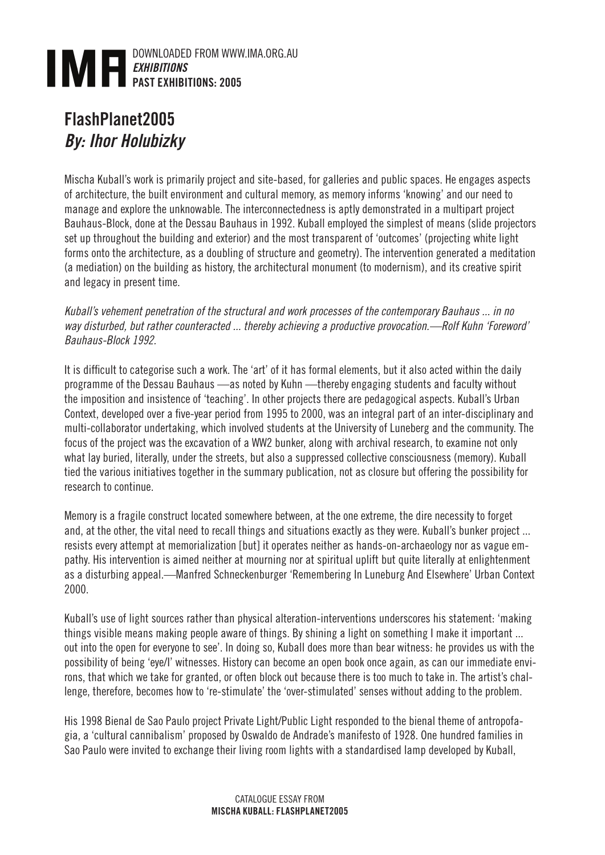

## FlashPlanet2005 *By: Ihor Holubizky*

Mischa Kuball's work is primarily project and site-based, for galleries and public spaces. He engages aspects of architecture, the built environment and cultural memory, as memory informs 'knowing' and our need to manage and explore the unknowable. The interconnectedness is aptly demonstrated in a multipart project Bauhaus-Block, done at the Dessau Bauhaus in 1992. Kuball employed the simplest of means (slide projectors set up throughout the building and exterior) and the most transparent of 'outcomes' (projecting white light forms onto the architecture, as a doubling of structure and geometry). The intervention generated a meditation (a mediation) on the building as history, the architectural monument (to modernism), and its creative spirit and legacy in present time.

*Kuball's vehement penetration of the structural and work processes of the contemporary Bauhaus ... in no way disturbed, but rather counteracted ... thereby achieving a productive provocation.—Rolf Kuhn 'Foreword' Bauhaus-Block 1992.*

It is difficult to categorise such a work. The 'art' of it has formal elements, but it also acted within the daily programme of the Dessau Bauhaus —as noted by Kuhn —thereby engaging students and faculty without the imposition and insistence of 'teaching'. In other projects there are pedagogical aspects. Kuball's Urban Context, developed over a five-year period from 1995 to 2000, was an integral part of an inter-disciplinary and multi-collaborator undertaking, which involved students at the University of Luneberg and the community. The focus of the project was the excavation of a WW2 bunker, along with archival research, to examine not only what lay buried, literally, under the streets, but also a suppressed collective consciousness (memory). Kuball tied the various initiatives together in the summary publication, not as closure but offering the possibility for research to continue.

Memory is a fragile construct located somewhere between, at the one extreme, the dire necessity to forget and, at the other, the vital need to recall things and situations exactly as they were. Kuball's bunker project ... resists every attempt at memorialization [but] it operates neither as hands-on-archaeology nor as vague empathy. His intervention is aimed neither at mourning nor at spiritual uplift but quite literally at enlightenment as a disturbing appeal.—Manfred Schneckenburger 'Remembering In Luneburg And Elsewhere' Urban Context 2000.

Kuball's use of light sources rather than physical alteration-interventions underscores his statement: 'making things visible means making people aware of things. By shining a light on something I make it important ... out into the open for everyone to see'. In doing so, Kuball does more than bear witness: he provides us with the possibility of being 'eye/I' witnesses. History can become an open book once again, as can our immediate environs, that which we take for granted, or often block out because there is too much to take in. The artist's challenge, therefore, becomes how to 're-stimulate' the 'over-stimulated' senses without adding to the problem.

His 1998 Bienal de Sao Paulo project Private Light/Public Light responded to the bienal theme of antropofagia, a 'cultural cannibalism' proposed by Oswaldo de Andrade's manifesto of 1928. One hundred families in Sao Paulo were invited to exchange their living room lights with a standardised lamp developed by Kuball,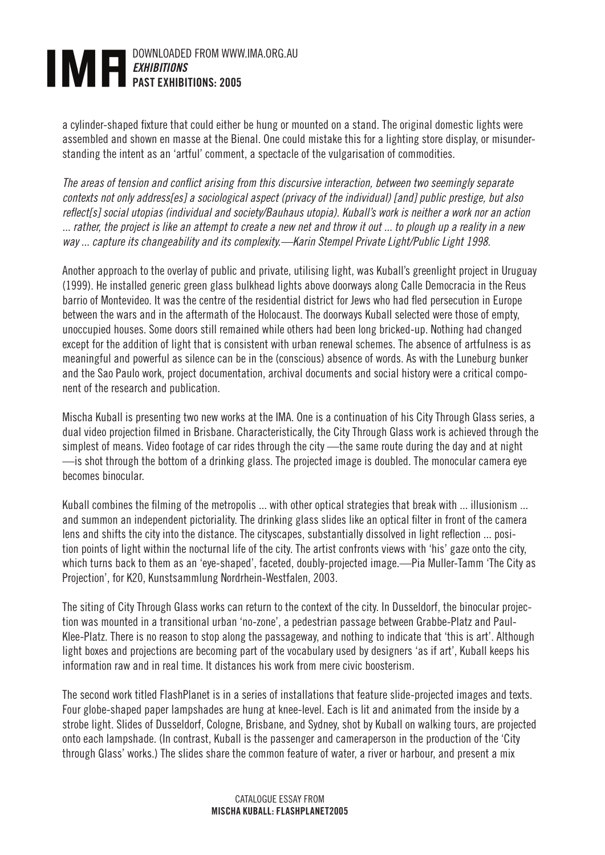## DOWNLOADED FROM WWW.IMA.ORG.AU *EXHIBITIONS*  PAST EXHIBITIONS: 2005

a cylinder-shaped fixture that could either be hung or mounted on a stand. The original domestic lights were assembled and shown en masse at the Bienal. One could mistake this for a lighting store display, or misunderstanding the intent as an 'artful' comment, a spectacle of the vulgarisation of commodities.

*The areas of tension and conflict arising from this discursive interaction, between two seemingly separate contexts not only address[es] a sociological aspect (privacy of the individual) [and] public prestige, but also*  reflect[s] social utopias (individual and society/Bauhaus utopia). Kuball's work is neither a work nor an action *... rather, the project is like an attempt to create a new net and throw it out ... to plough up a reality in a new way ... capture its changeability and its complexity.—Karin Stempel Private Light/Public Light 1998.*

Another approach to the overlay of public and private, utilising light, was Kuball's greenlight project in Uruguay (1999). He installed generic green glass bulkhead lights above doorways along Calle Democracia in the Reus barrio of Montevideo. It was the centre of the residential district for Jews who had fled persecution in Europe between the wars and in the aftermath of the Holocaust. The doorways Kuball selected were those of empty, unoccupied houses. Some doors still remained while others had been long bricked-up. Nothing had changed except for the addition of light that is consistent with urban renewal schemes. The absence of artfulness is as meaningful and powerful as silence can be in the (conscious) absence of words. As with the Luneburg bunker and the Sao Paulo work, project documentation, archival documents and social history were a critical component of the research and publication.

Mischa Kuball is presenting two new works at the IMA. One is a continuation of his City Through Glass series, a dual video projection filmed in Brisbane. Characteristically, the City Through Glass work is achieved through the simplest of means. Video footage of car rides through the city —the same route during the day and at night —is shot through the bottom of a drinking glass. The projected image is doubled. The monocular camera eye becomes binocular.

Kuball combines the filming of the metropolis ... with other optical strategies that break with ... illusionism ... and summon an independent pictoriality. The drinking glass slides like an optical filter in front of the camera lens and shifts the city into the distance. The cityscapes, substantially dissolved in light reflection ... position points of light within the nocturnal life of the city. The artist confronts views with 'his' gaze onto the city, which turns back to them as an 'eye-shaped', faceted, doubly-projected image.—Pia Muller-Tamm 'The City as Projection', for K20, Kunstsammlung Nordrhein-Westfalen, 2003.

The siting of City Through Glass works can return to the context of the city. In Dusseldorf, the binocular projection was mounted in a transitional urban 'no-zone', a pedestrian passage between Grabbe-Platz and Paul-Klee-Platz. There is no reason to stop along the passageway, and nothing to indicate that 'this is art'. Although light boxes and projections are becoming part of the vocabulary used by designers 'as if art', Kuball keeps his information raw and in real time. It distances his work from mere civic boosterism.

The second work titled FlashPlanet is in a series of installations that feature slide-projected images and texts. Four globe-shaped paper lampshades are hung at knee-level. Each is lit and animated from the inside by a strobe light. Slides of Dusseldorf, Cologne, Brisbane, and Sydney, shot by Kuball on walking tours, are projected onto each lampshade. (In contrast, Kuball is the passenger and cameraperson in the production of the 'City through Glass' works.) The slides share the common feature of water, a river or harbour, and present a mix